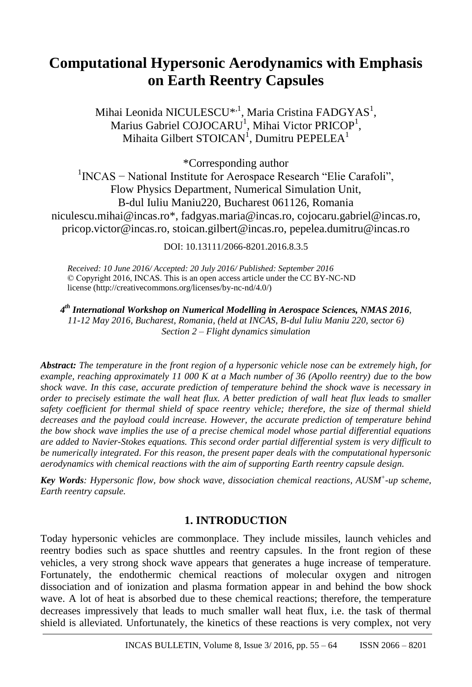# **Computational Hypersonic Aerodynamics with Emphasis on Earth Reentry Capsules**

Mihai Leonida NICULESCU<sup>\*, 1</sup>, Maria Cristina FADGYAS<sup>1</sup>, Marius Gabriel COJOCARU<sup>1</sup>, Mihai Victor PRICOP<sup>1</sup>, Mihaita Gilbert STOICAN<sup>1</sup>, Dumitru PEPELEA<sup>1</sup>

\*Corresponding author

1 INCAS − National Institute for Aerospace Research "Elie Carafoli", Flow Physics Department, Numerical Simulation Unit, B-dul Iuliu Maniu220, Bucharest 061126, Romania niculescu.mihai@incas.ro\*, fadgyas.maria@incas.ro, cojocaru.gabriel@incas.ro, pricop.victor@incas.ro, stoican.gilbert@incas.ro, pepelea.dumitru@incas.ro

DOI: 10.13111/2066-8201.2016.8.3.5

*Received: 10 June 2016/ Accepted: 20 July 2016/ Published: September 2016* © Copyright 2016, INCAS. This is an open access article under the CC BY-NC-ND license (http://creativecommons.org/licenses/by-nc-nd/4.0/)

*4 th International Workshop on Numerical Modelling in Aerospace Sciences, NMAS 2016, 11-12 May 2016, Bucharest, Romania, (held at INCAS, B-dul Iuliu Maniu 220, sector 6) Section 2 – Flight dynamics simulation*

*Abstract: The temperature in the front region of a hypersonic vehicle nose can be extremely high, for example, reaching approximately 11 000 K at a Mach number of 36 (Apollo reentry) due to the bow shock wave. In this case, accurate prediction of temperature behind the shock wave is necessary in order to precisely estimate the wall heat flux. A better prediction of wall heat flux leads to smaller safety coefficient for thermal shield of space reentry vehicle; therefore, the size of thermal shield decreases and the payload could increase. However, the accurate prediction of temperature behind the bow shock wave implies the use of a precise chemical model whose partial differential equations are added to Navier-Stokes equations. This second order partial differential system is very difficult to be numerically integrated. For this reason, the present paper deals with the computational hypersonic aerodynamics with chemical reactions with the aim of supporting Earth reentry capsule design.*

*Key Words: Hypersonic flow, bow shock wave, dissociation chemical reactions, AUSM<sup>+</sup> -up scheme, Earth reentry capsule.*

# **1. INTRODUCTION**

Today hypersonic vehicles are commonplace. They include missiles, launch vehicles and reentry bodies such as space shuttles and reentry capsules. In the front region of these vehicles, a very strong shock wave appears that generates a huge increase of temperature. Fortunately, the endothermic chemical reactions of molecular oxygen and nitrogen dissociation and of ionization and plasma formation appear in and behind the bow shock wave. A lot of heat is absorbed due to these chemical reactions; therefore, the temperature decreases impressively that leads to much smaller wall heat flux, i.e. the task of thermal shield is alleviated. Unfortunately, the kinetics of these reactions is very complex, not very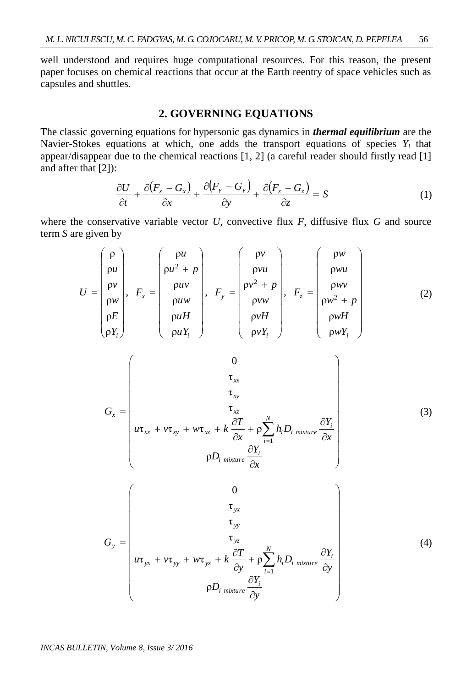well understood and requires huge computational resources. For this reason, the present paper focuses on chemical reactions that occur at the Earth reentry of space vehicles such as capsules and shuttles.

## **2. GOVERNING EQUATIONS**

The classic governing equations for hypersonic gas dynamics in *thermal equilibrium* are the Navier-Stokes equations at which, one adds the transport equations of species  $Y_i$  that appear/disappear due to the chemical reactions [1, 2] (a careful reader should firstly read [1] and after that [2]):

$$
\frac{\partial U}{\partial t} + \frac{\partial (F_x - G_x)}{\partial x} + \frac{\partial (F_y - G_y)}{\partial y} + \frac{\partial (F_z - G_z)}{\partial z} = S \tag{1}
$$

where the conservative variable vector *U*, convective flux *F*, diffusive flux *G* and source term *S* are given by

 *i z i y i x <sup>i</sup> wY wH w p wv wu w F vY vH vw v p vu v F u Y u H u w u v u p u F Y E w v u U* ρ ρ ρ ρ ρ ρ , ρ ρ ρ ρ ρ ρ , ρ ρ ρ ρ ρ ρ , ρ ρ ρ ρ ρ ρ 2 2 2 (2) *x Y D x Y h D x T u v w k G i i mixture N i i xx xy xz i i mixture xz xy xx x* ρ τ τ τ ρ τ τ τ 0 1 (3) *y Y D y Y h D y T u v w k G i i mixture N i i yx yy yz i i mixture yz yy yx y* ρ τ τ τ ρ τ τ τ 0 1 (4)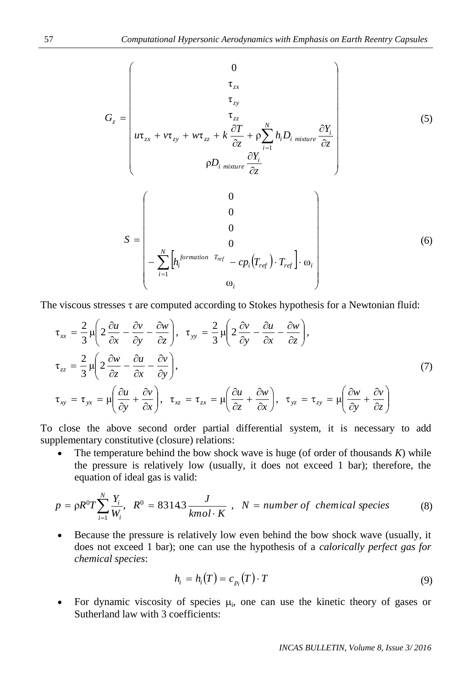$$
G_{z} = \begin{pmatrix}\n0 & \tau_{zx} & \tau_{zy} & \tau_{zx} \\
\tau_{zx} & \tau_{zy} & \tau_{z} & \tau_{z} \\
u\tau_{zx} + v\tau_{zy} + w\tau_{zz} + k\frac{\partial T}{\partial z} + \rho \sum_{i=1}^{N} h_{i}D_{i} \frac{\partial Y_{i}}{\text{mixture}}\frac{\partial Y_{i}}{\partial z} \\
\rho D_{i} \frac{\partial Y_{i}}{\text{mixture}}\frac{\partial Y_{i}}{\partial z}\n\end{pmatrix}
$$
\n(5)\n
$$
S = \begin{pmatrix}\n0 & \nu & \nu & \nu_{z} \\
0 & 0 & \nu_{z} \\
-\sum_{i=1}^{N} \left[h_{i}^{formation T_{ref}} - cp_{i}(T_{ref}) \cdot T_{ref}\right] \cdot \omega_{i} \\
\omega_{i}\n\end{pmatrix}
$$

The viscous stresses  $\tau$  are computed according to Stokes hypothesis for a Newtonian fluid:

$$
\tau_{xx} = \frac{2}{3} \mu \left( 2 \frac{\partial u}{\partial x} - \frac{\partial v}{\partial y} - \frac{\partial w}{\partial z} \right), \quad \tau_{yy} = \frac{2}{3} \mu \left( 2 \frac{\partial v}{\partial y} - \frac{\partial u}{\partial x} - \frac{\partial w}{\partial z} \right),
$$
\n
$$
\tau_{zz} = \frac{2}{3} \mu \left( 2 \frac{\partial w}{\partial z} - \frac{\partial u}{\partial x} - \frac{\partial v}{\partial y} \right),
$$
\n
$$
\tau_{xy} = \tau_{yx} = \mu \left( \frac{\partial u}{\partial y} + \frac{\partial v}{\partial x} \right), \quad \tau_{xz} = \tau_{zx} = \mu \left( \frac{\partial u}{\partial z} + \frac{\partial w}{\partial x} \right), \quad \tau_{yz} = \tau_{zy} = \mu \left( \frac{\partial w}{\partial y} + \frac{\partial v}{\partial z} \right)
$$
\n(7)

To close the above second order partial differential system, it is necessary to add supplementary constitutive (closure) relations:

 The temperature behind the bow shock wave is huge (of order of thousands *K*) while the pressure is relatively low (usually, it does not exceed 1 bar); therefore, the equation of ideal gas is valid:

The pressure is relatively low (usually, it does not exceed 1 bar), therefore, the equation of ideal gas is valid:  
\n
$$
p = \rho R^0 T \sum_{i=1}^{N} \frac{Y_i}{W_i}, \quad R^0 = 8314.3 \frac{J}{kmol \cdot K}, \quad N = number of chemical species
$$
\n(8)

 Because the pressure is relatively low even behind the bow shock wave (usually, it does not exceed 1 bar); one can use the hypothesis of a *calorically perfect gas for chemical species*:

$$
h_i = h_i(T) = c_{p_i}(T) \cdot T \tag{9}
$$

• For dynamic viscosity of species  $\mu_i$ , one can use the kinetic theory of gases or Sutherland law with 3 coefficients: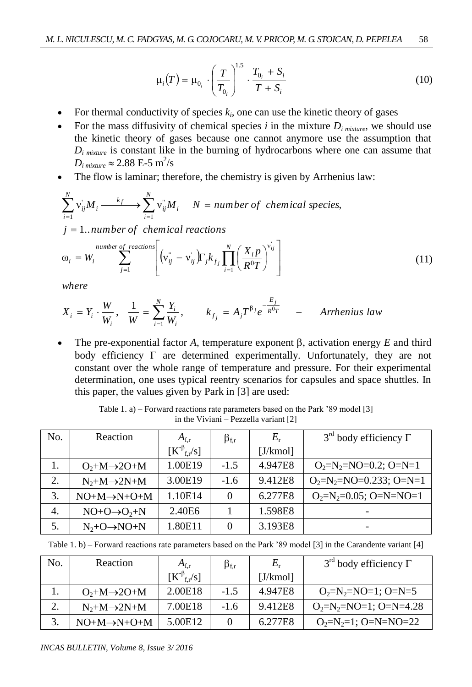$$
\mu_i(T) = \mu_{0_i} \cdot \left(\frac{T}{T_{0_i}}\right)^{1.5} \cdot \frac{T_{0_i} + S_i}{T + S_i}
$$
\n(10)

- For thermal conductivity of species  $k_i$ , one can use the kinetic theory of gases
- For the mass diffusivity of chemical species *i* in the mixture  $D_i$  mixture, we should use the kinetic theory of gases because one cannot anymore use the assumption that *D<sup>i</sup> mixture* is constant like in the burning of hydrocarbons where one can assume that  $D_{i\;mixture} \approx 2.88$  E-5  $\rm m^2/s$
- 

• The flow is laminar; therefore, the chemistry is given by Arrhenius law:  
\n
$$
\sum_{i=1}^{N} v_{ij}^{T} M_i \xrightarrow{k_f} \sum_{i=1}^{N} v_{ij}^{T} M_i \qquad N = number of \ chemical \ species,
$$
\n
$$
j = 1...number \ of \ chemical \ reactions
$$

$$
j = 1...number\ of\ chemical\ reactions
$$
  
\n
$$
\omega_i = W_i \sum_{j=1}^{number\ of\ reactions} \left[ \left( v_{ij}^{\dagger} - v_{ij} \right) \Gamma_j k_{fj} \prod_{i=1}^N \left( \frac{X_i p}{R^0 T} \right)^{v_{ij}} \right]
$$
\n(11)

*where*

$$
X_i = Y_i \cdot \frac{W}{W_i}, \quad \frac{1}{W} = \sum_{i=1}^{N} \frac{Y_i}{W_i}, \qquad k_{f_j} = A_j T^{\beta_j} e^{-\frac{E_j}{R^0 T}} \quad - \quad \text{Arrhenius law}
$$

The pre-exponential factor A, temperature exponent  $\beta$ , activation energy E and third body efficiency  $\Gamma$  are determined experimentally. Unfortunately, they are not constant over the whole range of temperature and pressure. For their experimental determination, one uses typical reentry scenarios for capsules and space shuttles. In this paper, the values given by Park in [3] are used:

| No. | Reaction                 | $A_{\rm f,r}$           | $\beta_{\text{f,r}}$ | $E_{r}$  | $3^{rd}$ body efficiency $\Gamma$ |
|-----|--------------------------|-------------------------|----------------------|----------|-----------------------------------|
|     |                          | $[K^{\beta}{}_{f,r}/s]$ |                      | [J/kmol] |                                   |
| 1.  | $O_2+M\rightarrow 2O+M$  | 1.00E19                 | $-1.5$               | 4.947E8  | $O_2=N_2=NO=0.2$ ; O=N=1          |
| 2.  | $N_2+M\rightarrow 2N+M$  | 3.00E19                 | $-1.6$               | 9.412E8  | $O_2=N_2=NO=0.233$ ; O=N=1        |
| 3.  | $NO+M\rightarrow N+O+M$  | 1.10E14                 | $\theta$             | 6.277E8  | $O_2=N_2=0.05$ ; O=N=NO=1         |
| 4.  | $NO+O\rightarrow O_2+N$  | 2.40E6                  |                      | 1.598E8  | $\overline{\phantom{0}}$          |
| 5.  | $N_2+O \rightarrow NO+N$ | 1.80E11                 | $\Omega$             | 3.193E8  | $\overline{\phantom{a}}$          |

Table 1. a) – Forward reactions rate parameters based on the Park '89 model [3] in the Viviani – Pezzella variant [2]

Table 1. b) – Forward reactions rate parameters based on the Park '89 model [3] in the Carandente variant [4]

| No. | Reaction                | $A_{\rm f,r}$           | $\beta$ <sub>f,r</sub> | $E_{\rm r}$ | $3^{\text{rd}}$ body efficiency $\Gamma$ |
|-----|-------------------------|-------------------------|------------------------|-------------|------------------------------------------|
|     |                         | $[K^{\beta}{}_{f,r}/s]$ |                        | J/kmol      |                                          |
|     | $O_2+M\rightarrow 2O+M$ | 2.00E18                 | $-1.5$                 | 4.947E8     | $O_2=N_2=NO=1$ ; $O=N=5$                 |
| 2.  | $N_2+M\rightarrow 2N+M$ | 7.00E18                 | $-1.6$                 | 9.412E8     | $O_2=N_2=NO=1$ ; O=N=4.28                |
| 3.  | $NO+M\rightarrow N+O+M$ | 5.00E12                 |                        | 6.277E8     | $O_2=N_2=1$ ; $O=N=NO=22$                |

*INCAS BULLETIN, Volume 8, Issue 3/ 2016*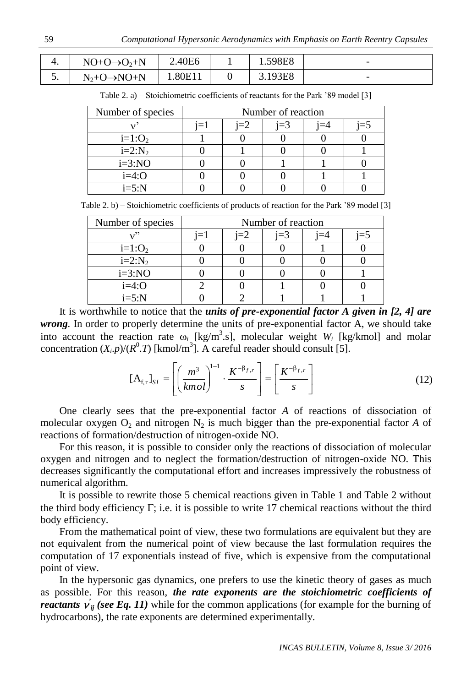| ч. | $NO+O\rightarrow O_2+N$  | 2.40E6  | 1.598E8 | $\overline{\phantom{a}}$ |
|----|--------------------------|---------|---------|--------------------------|
| J. | $N_2+O \rightarrow NO+N$ | 1.80E11 | 3.193E8 | $\overline{\phantom{0}}$ |

Table 2. a) – Stoichiometric coefficients of reactants for the Park '89 model [3]

| Number of species | Number of reaction |  |       |  |  |  |
|-------------------|--------------------|--|-------|--|--|--|
|                   |                    |  | $=$ 3 |  |  |  |
| $i=1:O2$          |                    |  |       |  |  |  |
| $i=2:N_2$         |                    |  |       |  |  |  |
| $i=3:NO$          |                    |  |       |  |  |  |
| $i=4:O$           |                    |  |       |  |  |  |
| $i=5:N$           |                    |  |       |  |  |  |

Table 2. b) – Stoichiometric coefficients of products of reaction for the Park '89 model [3]

| Number of species | Number of reaction |  |       |  |  |  |
|-------------------|--------------------|--|-------|--|--|--|
| . ? ?             |                    |  | $=$ 3 |  |  |  |
| $i=1:O_2$         |                    |  |       |  |  |  |
| $i=2:N_2$         |                    |  |       |  |  |  |
| $i=3:NO$          |                    |  |       |  |  |  |
| $i=4:O$           |                    |  |       |  |  |  |
| $i=5:N$           |                    |  |       |  |  |  |

It is worthwhile to notice that the *units of pre-exponential factor A given in [2, 4] are wrong.* In order to properly determine the units of pre-exponential factor A, we should take into account the reaction rate  $\omega_i$  [kg/m<sup>3</sup>.s], molecular weight  $W_i$  [kg/kmol] and molar concentration  $(X_i, p)/(R^0, T)$  [kmol/m<sup>3</sup>]. A careful reader should consult [5].

$$
[\mathbf{A}_{\mathrm{f},\mathrm{r}}]_{SI} = \left[ \left( \frac{m^3}{kmol} \right)^{1-1} \cdot \frac{K^{-\beta_{f,r}}}{s} \right] = \left[ \frac{K^{-\beta_{f,r}}}{s} \right]
$$
(12)

One clearly sees that the pre-exponential factor *A* of reactions of dissociation of molecular oxygen  $O_2$  and nitrogen  $N_2$  is much bigger than the pre-exponential factor A of reactions of formation/destruction of nitrogen-oxide NO.

For this reason, it is possible to consider only the reactions of dissociation of molecular oxygen and nitrogen and to neglect the formation/destruction of nitrogen-oxide NO. This decreases significantly the computational effort and increases impressively the robustness of numerical algorithm.

It is possible to rewrite those 5 chemical reactions given in Table 1 and Table 2 without the third body efficiency  $\Gamma$ ; i.e. it is possible to write 17 chemical reactions without the third body efficiency.

From the mathematical point of view, these two formulations are equivalent but they are not equivalent from the numerical point of view because the last formulation requires the computation of 17 exponentials instead of five, which is expensive from the computational point of view.

In the hypersonic gas dynamics, one prefers to use the kinetic theory of gases as much as possible. For this reason, *the rate exponents are the stoichiometric coefficients of reactants*  $\vec{v}_{ij}$  (see Eq. 11) while for the common applications (for example for the burning of hydrocarbons), the rate exponents are determined experimentally.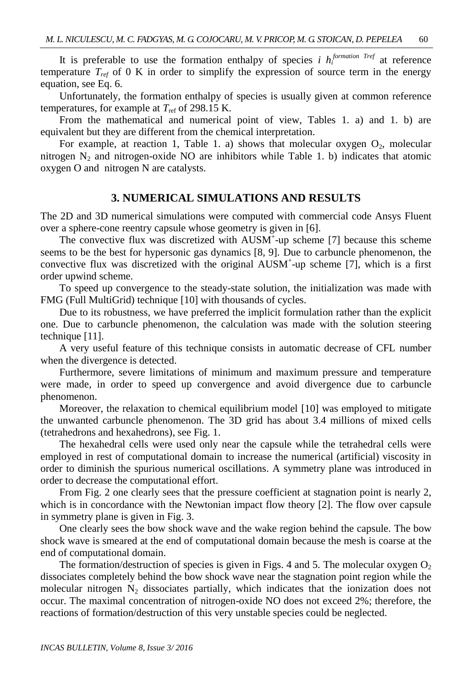It is preferable to use the formation enthalpy of species *i*  $h_i^{formation~Tref}$  at reference temperature  $T_{ref}$  of 0 K in order to simplify the expression of source term in the energy equation, see Eq. 6.

Unfortunately, the formation enthalpy of species is usually given at common reference temperatures, for example at  $T_{ref}$  of 298.15 K.

From the mathematical and numerical point of view, Tables 1. a) and 1. b) are equivalent but they are different from the chemical interpretation.

For example, at reaction 1, Table 1. a) shows that molecular oxygen  $O_2$ , molecular nitrogen  $N_2$  and nitrogen-oxide NO are inhibitors while Table 1. b) indicates that atomic oxygen O and nitrogen N are catalysts.

### **3. NUMERICAL SIMULATIONS AND RESULTS**

The 2D and 3D numerical simulations were computed with commercial code Ansys Fluent over a sphere-cone reentry capsule whose geometry is given in [6].

The convective flux was discretized with AUSM<sup>+</sup>-up scheme [7] because this scheme seems to be the best for hypersonic gas dynamics [8, 9]. Due to carbuncle phenomenon, the convective flux was discretized with the original AUSM<sup>+</sup>-up scheme [7], which is a first order upwind scheme.

To speed up convergence to the steady-state solution, the initialization was made with FMG (Full MultiGrid) technique [10] with thousands of cycles.

Due to its robustness, we have preferred the implicit formulation rather than the explicit one. Due to carbuncle phenomenon, the calculation was made with the solution steering technique [11].

A very useful feature of this technique consists in automatic decrease of CFL number when the divergence is detected.

Furthermore, severe limitations of minimum and maximum pressure and temperature were made, in order to speed up convergence and avoid divergence due to carbuncle phenomenon.

Moreover, the relaxation to chemical equilibrium model [10] was employed to mitigate the unwanted carbuncle phenomenon. The 3D grid has about 3.4 millions of mixed cells (tetrahedrons and hexahedrons), see Fig. 1.

The hexahedral cells were used only near the capsule while the tetrahedral cells were employed in rest of computational domain to increase the numerical (artificial) viscosity in order to diminish the spurious numerical oscillations. A symmetry plane was introduced in order to decrease the computational effort.

From Fig. 2 one clearly sees that the pressure coefficient at stagnation point is nearly 2, which is in concordance with the Newtonian impact flow theory [2]. The flow over capsule in symmetry plane is given in Fig. 3.

One clearly sees the bow shock wave and the wake region behind the capsule. The bow shock wave is smeared at the end of computational domain because the mesh is coarse at the end of computational domain.

The formation/destruction of species is given in Figs. 4 and 5. The molecular oxygen  $O_2$ dissociates completely behind the bow shock wave near the stagnation point region while the molecular nitrogen  $N_2$  dissociates partially, which indicates that the ionization does not occur. The maximal concentration of nitrogen-oxide NO does not exceed 2%; therefore, the reactions of formation/destruction of this very unstable species could be neglected.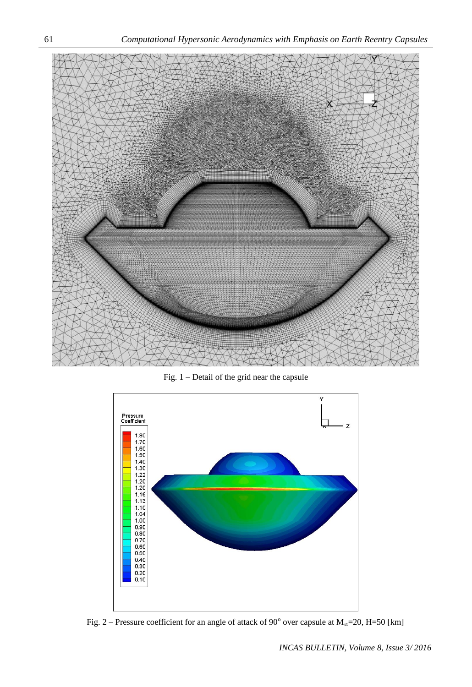

Fig. 1 – Detail of the grid near the capsule



Fig. 2 – Pressure coefficient for an angle of attack of 90 $^{\circ}$  over capsule at  $M_{\infty}$ =20, H=50 [km]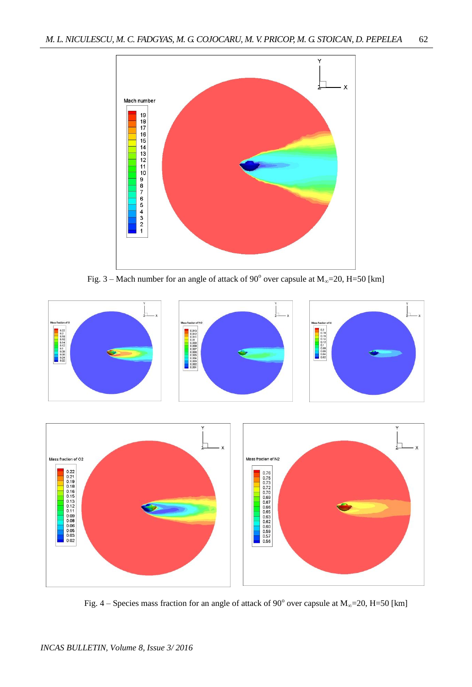

Fig.  $3 -$  Mach number for an angle of attack of 90 $^{\circ}$  over capsule at  $M_{\infty}$ =20, H=50 [km]



Fig. 4 – Species mass fraction for an angle of attack of 90 $^{\circ}$  over capsule at M<sub>∞</sub>=20, H=50 [km]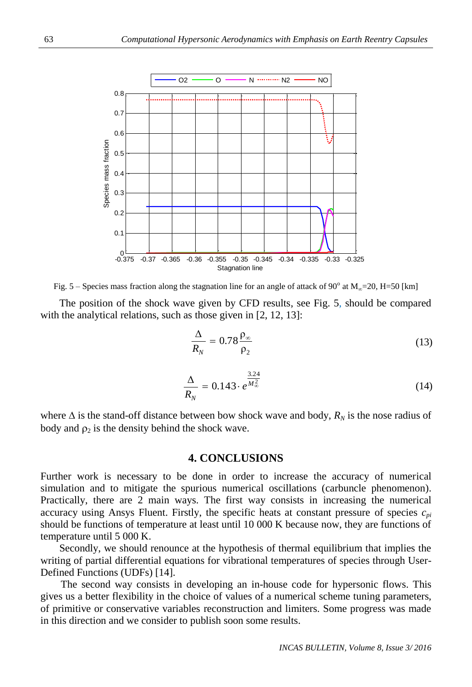

Fig. 5 – Species mass fraction along the stagnation line for an angle of attack of 90 $^{\circ}$  at M<sub>∞</sub>=20, H=50 [km]

The position of the shock wave given by CFD results, see Fig. 5, should be compared with the analytical relations, such as those given in [2, 12, 13]:

$$
\frac{\Delta}{R_N} = 0.78 \frac{\rho_{\infty}}{\rho_2} \tag{13}
$$

$$
\frac{\Delta}{R_N} = 0.143 \cdot e^{\frac{3.24}{M_{\infty}^2}}
$$
 (14)

where  $\Delta$  is the stand-off distance between bow shock wave and body,  $R_N$  is the nose radius of body and  $\rho_2$  is the density behind the shock wave.

#### **4. CONCLUSIONS**

Further work is necessary to be done in order to increase the accuracy of numerical simulation and to mitigate the spurious numerical oscillations (carbuncle phenomenon). Practically, there are 2 main ways. The first way consists in increasing the numerical accuracy using Ansys Fluent. Firstly, the specific heats at constant pressure of species *cpi* should be functions of temperature at least until 10 000 K because now, they are functions of temperature until 5 000 K.

Secondly, we should renounce at the hypothesis of thermal equilibrium that implies the writing of partial differential equations for vibrational temperatures of species through User-Defined Functions (UDFs) [14].

The second way consists in developing an in-house code for hypersonic flows. This gives us a better flexibility in the choice of values of a numerical scheme tuning parameters, of primitive or conservative variables reconstruction and limiters. Some progress was made in this direction and we consider to publish soon some results.